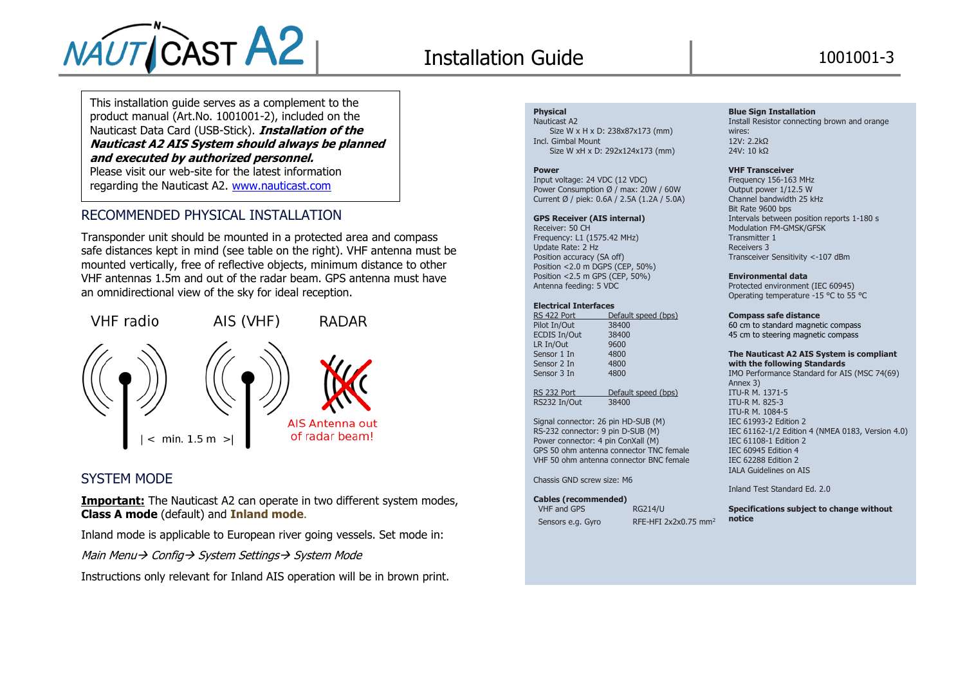

# Installation Guide 1001001-3

This installation guide serves as a complement to the product manual (Art.No. 1001001-2), included on the Nauticast Data Card (USB-Stick). **Installation of the Nauticast A2 AIS System should always be planned and executed by authorized personnel.**  Please visit our web-site for the latest information regarding the Nauticast A2. [www.nauticast.com](http://www.nauticast.com/)

# RECOMMENDED PHYSICAL INSTALLATION

Transponder unit should be mounted in a protected area and compass safe distances kept in mind (see table on the right). VHF antenna must be mounted vertically, free of reflective objects, minimum distance to other VHF antennas 1.5m and out of the radar beam. GPS antenna must have an omnidirectional view of the sky for ideal reception.



# SYSTEM MODE

**Important:** The Nauticast A2 can operate in two different system modes, **Class A mode** (default) and **Inland mode**.

Inland mode is applicable to European river going vessels. Set mode in:

Main Menu→ Config→ System Settings→ System Mode

Instructions only relevant for Inland AIS operation will be in brown print.

### **Physical**

Nauticast A<sub>2</sub> Size W x H x D: 238x87x173 (mm) Incl. Gimbal Mount Size W xH x D: 292x124x173 (mm)

#### **Power**

Input voltage: 24 VDC (12 VDC) Power Consumption Ø / max: 20W / 60W Current Ø / piek: 0.6A / 2.5A (1.2A / 5.0A)

#### **GPS Receiver (AIS internal)**

Receiver: 50 CH Frequency: L1 (1575.42 MHz) Update Rate: 2 Hz Position accuracy (SA off) Position <2.0 m DGPS (CEP, 50%) Position <2.5 m GPS (CEP, 50%) Antenna feeding: 5 VDC

#### **Electrical Interfaces**

| RS 422 Port         | Default speed (bps) |
|---------------------|---------------------|
| Pilot In/Out        | 38400               |
| <b>ECDIS In/Out</b> | 38400               |
| LR In/Out           | 9600                |
| Sensor 1 In         | 4800                |
| Sensor 2 In         | 4800                |
| Sensor 3 In         | 4800                |
|                     |                     |
| RS 232 Port         | Default speed (bps) |
| RS232 In/Out        | 38400               |

Signal connector: 26 pin HD-SUB (M) RS-232 connector: 9 pin D-SUB (M) Power connector: 4 pin ConXall (M) GPS 50 ohm antenna connector TNC female VHF 50 ohm antenna connector BNC female

Chassis GND screw size: M6

#### **Cables (recommended)**

# VHF and GPS RG214/U

Sensors e.g. Gyro RFE-HFI 2x2x0.75 mm<sup>2</sup>

#### **Blue Sign Installation**

Install Resistor connecting brown and orange wires: 12V: 2.2kΩ 24V: 10 kΩ

#### **VHF Transceiver**

Frequency 156-163 MHz Output power 1/12.5 W Channel bandwidth 25 kHz Bit Rate 9600 bps Intervals between position reports 1-180 s Modulation FM-GMSK/GFSK Transmitter 1 Receivers 3 Transceiver Sensitivity <-107 dBm

#### **Environmental data**

Protected environment (IEC 60945) Operating temperature -15 °C to 55 °C

#### **Compass safe distance**

60 cm to standard magnetic compass 45 cm to steering magnetic compass

#### **The Nauticast A2 AIS System is compliant with the following Standards**

IMO Performance Standard for AIS (MSC 74(69) Annex 3) ITU-R M. 1371-5 ITU-R M. 825-3 ITU-R M. 1084-5 IEC 61993-2 Edition 2 IEC 61162-1/2 Edition 4 (NMEA 0183, Version 4.0) IEC 61108-1 Edition 2 IEC 60945 Edition 4 IEC 62288 Edition 2 IALA Guidelines on AIS

Inland Test Standard Ed. 2.0

**Specifications subject to change without notice**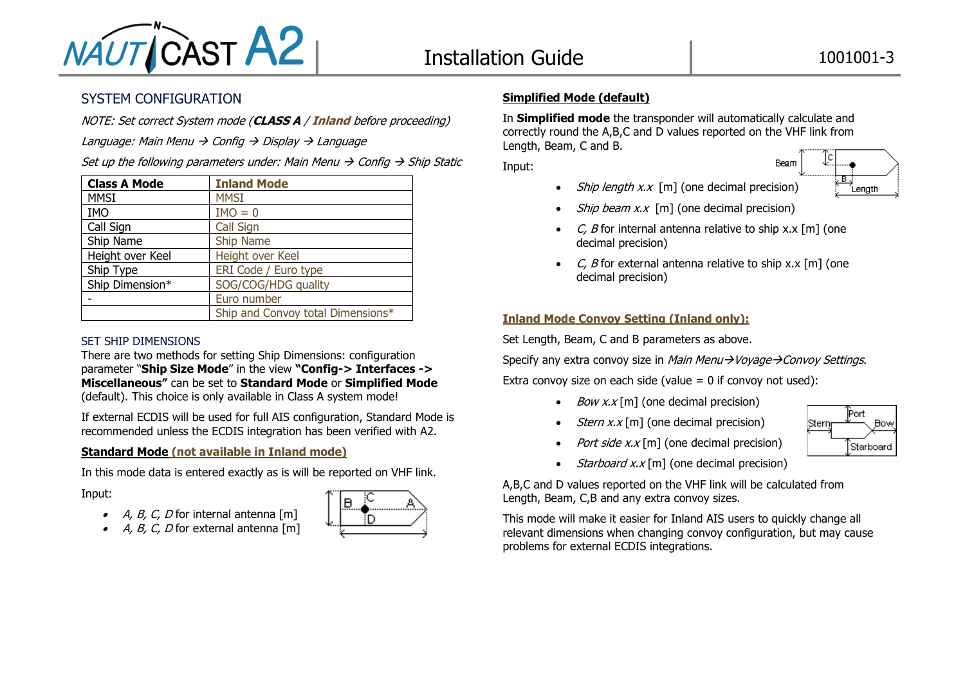

# SYSTEM CONFIGURATION

NOTE: Set correct System mode (**CLASS A** / **Inland** before proceeding)

Language: Main Menu  $\rightarrow$  Config  $\rightarrow$  Display  $\rightarrow$  Language

Set up the following parameters under: Main Menu  $\rightarrow$  Config  $\rightarrow$  Ship Static

| <b>Class A Mode</b> | <b>Inland Mode</b>                |
|---------------------|-----------------------------------|
| <b>MMSI</b>         | <b>MMSI</b>                       |
| <b>IMO</b>          | $IMO = 0$                         |
| Call Sign           | <b>Call Sign</b>                  |
| Ship Name           | Ship Name                         |
| Height over Keel    | Height over Keel                  |
| Ship Type           | ERI Code / Euro type              |
| Ship Dimension*     | SOG/COG/HDG quality               |
|                     | Euro number                       |
|                     | Ship and Convoy total Dimensions* |

### SET SHIP DIMENSIONS

There are two methods for setting Ship Dimensions: configuration parameter "**Ship Size Mode**" in the view **"Config-> Interfaces -> Miscellaneous"** can be set to **Standard Mode** or **Simplified Mode** (default). This choice is only available in Class A system mode!

If external ECDIS will be used for full AIS configuration, Standard Mode is recommended unless the ECDIS integration has been verified with A2.

# **Standard Mode (not available in Inland mode)**

In this mode data is entered exactly as is will be reported on VHF link.

Input:

- $A, B, C, D$  for internal antenna [m]
- $A, B, C, D$  for external antenna [m]



# **Simplified Mode (default)**

In **Simplified mode** the transponder will automatically calculate and correctly round the A,B,C and D values reported on the VHF link from Length, Beam, C and B.

Input:

• *Ship length x.x* [m] (one decimal precision)



- *Ship beam x.x* [m] (one decimal precision)
- C, B for internal antenna relative to ship x, x  $\lceil m \rceil$  (one decimal precision)
- C, B for external antenna relative to ship x.x  $[m]$  (one decimal precision)

### **Inland Mode Convoy Setting (Inland only):**

Set Length, Beam, C and B parameters as above.

Specify any extra convoy size in Main Menu→Voyage→Convoy Settings.

Extra convov size on each side (value  $= 0$  if convov not used):

- *Bow x.x* [m] (one decimal precision)
- *Stern x.x* [m] (one decimal precision)



- Port side  $x.x$  [m] (one decimal precision)
- *Starboard x.x* [m] (one decimal precision)

A,B,C and D values reported on the VHF link will be calculated from Length, Beam, C,B and any extra convoy sizes.

This mode will make it easier for Inland AIS users to quickly change all relevant dimensions when changing convoy configuration, but may cause problems for external ECDIS integrations.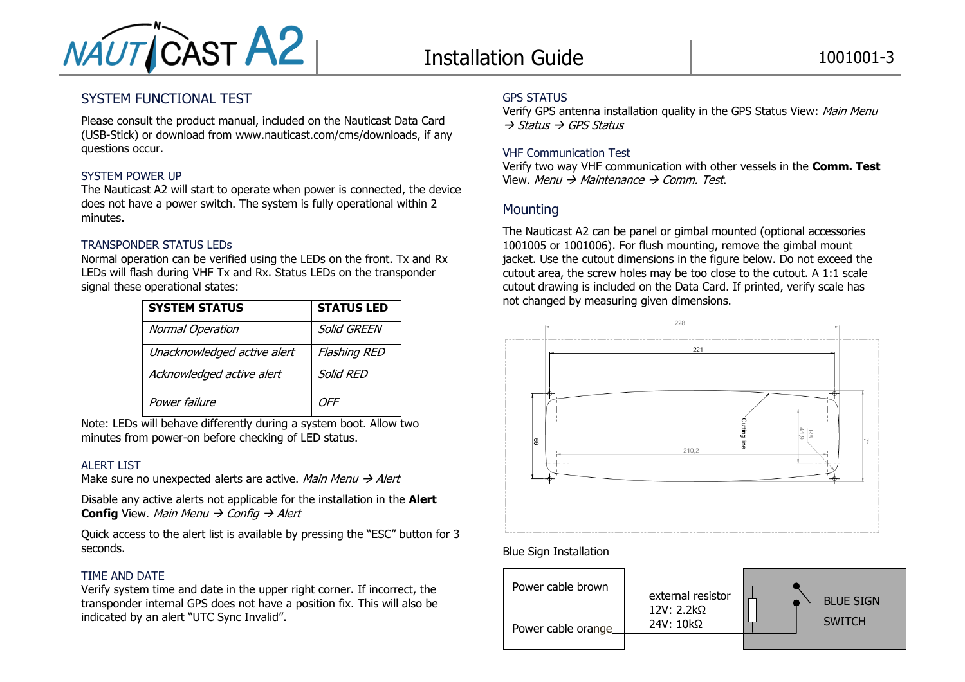

# SYSTEM FUNCTIONAL TEST

Please consult the product manual, included on the Nauticast Data Card (USB-Stick) or download from www.nauticast.com/cms/downloads, if any questions occur.

### SYSTEM POWER UP

The Nauticast A2 will start to operate when power is connected, the device does not have a power switch. The system is fully operational within 2 minutes.

### TRANSPONDER STATUS LEDs

Normal operation can be verified using the LEDs on the front. Tx and Rx LEDs will flash during VHF Tx and Rx. Status LEDs on the transponder signal these operational states:

| <b>SYSTEM STATUS</b>        | <b>STATUS LED</b>   |
|-----------------------------|---------------------|
| Normal Operation            | Solid GREEN         |
| Unacknowledged active alert | <b>Flashing RED</b> |
| Acknowledged active alert   | Solid RED           |
| Power failure               | OFF                 |

Note: LEDs will behave differently during a system boot. Allow two minutes from power-on before checking of LED status.

### ALERT LIST

Make sure no unexpected alerts are active. Main Menu  $\rightarrow$  Alert

Disable any active alerts not applicable for the installation in the **Alert Config** View. Main Menu  $\rightarrow$  Config  $\rightarrow$  Alert

Quick access to the alert list is available by pressing the "ESC" button for 3 seconds.

### TIME AND DATE

Verify system time and date in the upper right corner. If incorrect, the transponder internal GPS does not have a position fix. This will also be indicated by an alert "UTC Sync Invalid".

### GPS STATUS

Verify GPS antenna installation quality in the GPS Status View: Main Menu  $\rightarrow$  Status  $\rightarrow$  GPS Status

### VHF Communication Test

Verify two way VHF communication with other vessels in the **Comm. Test** View. Menu  $\rightarrow$  Maintenance  $\rightarrow$  Comm. Test.

# **Mounting**

The Nauticast A2 can be panel or gimbal mounted (optional accessories 1001005 or 1001006). For flush mounting, remove the gimbal mount jacket. Use the cutout dimensions in the figure below. Do not exceed the cutout area, the screw holes may be too close to the cutout. A 1:1 scale cutout drawing is included on the Data Card. If printed, verify scale has not changed by measuring given dimensions.



# Blue Sign Installation